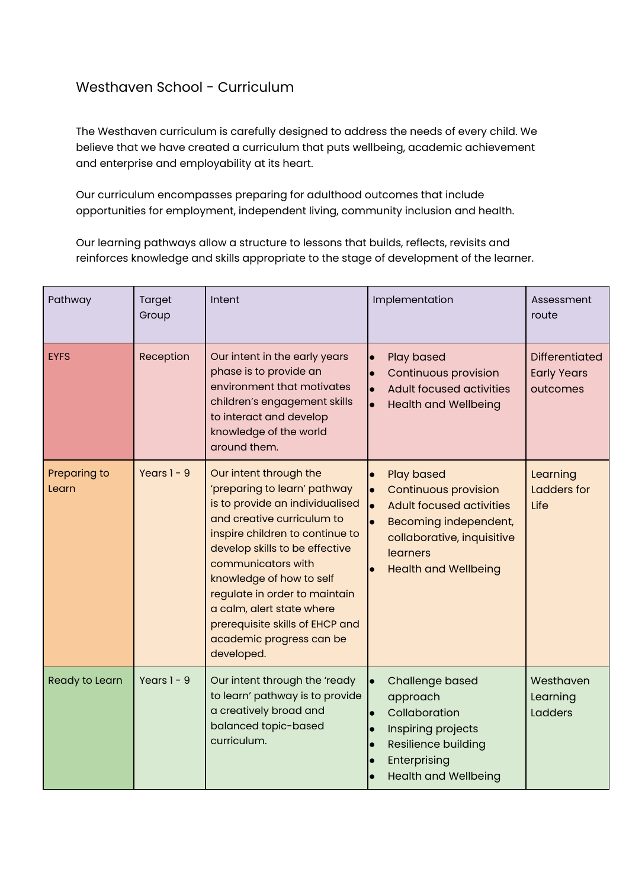## Westhaven School - Curriculum

The Westhaven curriculum is carefully designed to address the needs of every child. We believe that we have created a curriculum that puts wellbeing, academic achievement and enterprise and employability at its heart.

Our curriculum encompasses preparing for adulthood outcomes that include opportunities for employment, independent living, community inclusion and health.

Our learning pathways allow a structure to lessons that builds, reflects, revisits and reinforces knowledge and skills appropriate to the stage of development of the learner.

| Pathway               | Target<br>Group | Intent                                                                                                                                                                                                                                                                                                                                                                                    | Implementation                                                                                                                                                                                                               | Assessment<br>route                                     |
|-----------------------|-----------------|-------------------------------------------------------------------------------------------------------------------------------------------------------------------------------------------------------------------------------------------------------------------------------------------------------------------------------------------------------------------------------------------|------------------------------------------------------------------------------------------------------------------------------------------------------------------------------------------------------------------------------|---------------------------------------------------------|
| <b>EYFS</b>           | Reception       | Our intent in the early years<br>phase is to provide an<br>environment that motivates<br>children's engagement skills<br>to interact and develop<br>knowledge of the world<br>around them.                                                                                                                                                                                                | Play based<br>Continuous provision<br><b>Adult focused activities</b><br>$\bullet$<br><b>Health and Wellbeing</b>                                                                                                            | <b>Differentiated</b><br><b>Early Years</b><br>outcomes |
| Preparing to<br>Learn | Years $1 - 9$   | Our intent through the<br>'preparing to learn' pathway<br>is to provide an individualised<br>and creative curriculum to<br>inspire children to continue to<br>develop skills to be effective<br>communicators with<br>knowledge of how to self<br>regulate in order to maintain<br>a calm, alert state where<br>prerequisite skills of EHCP and<br>academic progress can be<br>developed. | <b>Play based</b><br>$\bullet$<br><b>Continuous provision</b><br>$\bullet$<br><b>Adult focused activities</b><br>$\bullet$<br>Becoming independent,<br>collaborative, inquisitive<br>learners<br><b>Health and Wellbeing</b> | Learning<br>Ladders for<br>Life                         |
| Ready to Learn        | Years $1 - 9$   | Our intent through the 'ready<br>to learn' pathway is to provide<br>a creatively broad and<br>balanced topic-based<br>curriculum.                                                                                                                                                                                                                                                         | Challenge based<br>approach<br>Collaboration<br>$\bullet$<br>Inspiring projects<br>$\bullet$<br>Resilience building<br>Enterprising<br><b>Health and Wellbeing</b>                                                           | Westhaven<br>Learning<br>Ladders                        |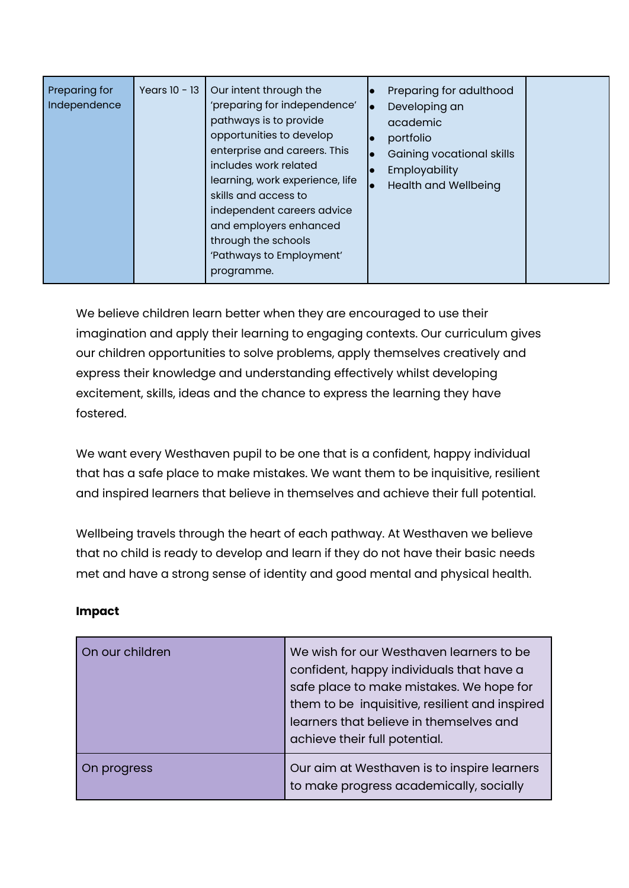| Preparing for<br>Independence | Years $10 - 13$ | Our intent through the<br>'preparing for independence'<br>pathways is to provide<br>opportunities to develop<br>enterprise and careers. This<br>includes work related<br>learning, work experience, life<br>skills and access to<br>independent careers advice<br>and employers enhanced<br>through the schools<br>'Pathways to Employment'<br>programme. | $\bullet$ | Preparing for adulthood<br>Developing an<br>academic<br>portfolio<br>Gaining vocational skills<br>Employability<br><b>Health and Wellbeing</b> |  |
|-------------------------------|-----------------|-----------------------------------------------------------------------------------------------------------------------------------------------------------------------------------------------------------------------------------------------------------------------------------------------------------------------------------------------------------|-----------|------------------------------------------------------------------------------------------------------------------------------------------------|--|
|-------------------------------|-----------------|-----------------------------------------------------------------------------------------------------------------------------------------------------------------------------------------------------------------------------------------------------------------------------------------------------------------------------------------------------------|-----------|------------------------------------------------------------------------------------------------------------------------------------------------|--|

We believe children learn better when they are encouraged to use their imagination and apply their learning to engaging contexts. Our curriculum gives our children opportunities to solve problems, apply themselves creatively and express their knowledge and understanding effectively whilst developing excitement, skills, ideas and the chance to express the learning they have fostered.

We want every Westhaven pupil to be one that is a confident, happy individual that has a safe place to make mistakes. We want them to be inquisitive, resilient and inspired learners that believe in themselves and achieve their full potential.

Wellbeing travels through the heart of each pathway. At Westhaven we believe that no child is ready to develop and learn if they do not have their basic needs met and have a strong sense of identity and good mental and physical health.

## **Impact**

| On our children | We wish for our Westhaven learners to be<br>confident, happy individuals that have a<br>safe place to make mistakes. We hope for<br>them to be inquisitive, resilient and inspired<br>learners that believe in themselves and<br>achieve their full potential. |
|-----------------|----------------------------------------------------------------------------------------------------------------------------------------------------------------------------------------------------------------------------------------------------------------|
| On progress     | Our aim at Westhaven is to inspire learners<br>to make progress academically, socially                                                                                                                                                                         |